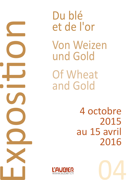Expos in a company of the company of Ɵ on

Du blé et de l'or Von Weizen und Gold Of Wheat and Gold

> 4 octobre 2015 au 15 avril 2016



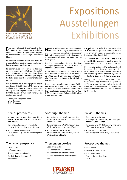

WIRTSCHAFTSKONFERENZ ECONOMICS CONFERENCE

# **Expositions** Ausstellungen **Exhibitions**

Bienvenue à la quatrième d'une série d'ex-<br>positions qui se donnent pour tâche d'aborder les événements d'aujourd'hui d'un point de vue associatif, tel qu'inauguré par Rudolf Steiner.

Le contenu présenté ici est issu d'une recherche faite en petits groupes, en plusieurs langues et dans plusieurs pays.

En économie, ce sont souvent les doctrines et les théories qui définissent la réalité. Mais ce qui compte, c'est bien plutôt de reconnaître le processus économique, de partir de lui et de chercher à vraiment le comprendre.

Ces questions nous accompagnent depuis nos débuts à L'AUBIER en 1979. Nous avons souhaité maintenant les mettre en évidence et les présenter régulièrement ici pour que L'AUBIER puisse offrir un point d'ancrage européen à ce travail.

- *Christopher Houghton Budd*
- *Marc Desaules*
- *Anita Grandjean*

### Thèmes précédents

- Vrais prix, vrais revenus. Les propositions d'Aristote, de Thomas d'Aquin et de Rudolf Steiner.
- Vers une seule économie mondiale. L'œuvre de Steiner, Keynes et Dunlop.
- Rudolf Steiner, économiste Deux semaines qui pourraient changer le monde

### Thèmes en perspective

- L'argent ‹vrai›.
- La fi nance au seuil.
- Si les femmes comptaient.
- Au-delà du marché. Au-delà des banques.

Herzlich Willkommen zur vierten in einer Serie von Ausstellungen, die es sich zum Anliegen machen, an die Ereignisse unserer Zeit mit einem assoziativen Gesichtspunkt, so wie ihn Rudolf Steiner formuliert hat heranzugehen.

Die hier dargestellten Inhalte sind Forschungsergebnisse von kleinen Gruppen, in mehreren Sprachen und Ländern.

In der Wirtschaft sind es oft die Doktrinen und Theorien, die die Wirklichkeit definieren. Was jedoch zählt, ist der wirtschaftliche Prozess und der Versuch, ihn wirklich zu verstehen.

Diese Fragen begleiten uns seit den Anfängen von L'AUBIER seit 1979. Es ist nun unser Wunsch sie stärker hervorzuheben und sie hier regelmässig darzustellen, damit L'AU-BIER ein europäischer Ankerpunkt für diese Arbeit werden kann.

Welcome to the forth in a series of exhi-<br>bitions designed to address today's events from an associative point of view, as inaugurated by Rudolf Steiner.

The content presented here is the result of worldwide research in small groups, in several languages and in several countries.

In economics today, reality is often defined in terms of doctrines and theories. But what matters is to recognise and begin with the economic process, and then try both to understand it and give it clear expression.

Having been concerned with these questions ever since L'AUBIER's inception in 1979, we would like now to highlight and present such themes as part of our on-going activity to make L'AUBIER a European focus for this work.

### Vorherige Themen

- RichƟ ge Preise, richƟ ges Einkommen. Die Vorschläge Aristoteles, Thomas von Aquin und Rudolf Steiner.
- Zu einer geeinten Welt-Wirtschaft. Das Werk von Steiner, Keynes und Dunlop.
- Rudolf Steiner, Wirtschaftswissenschaftler - Zwei Wochen, die die Welt verändern könnten

### **Themenperspektive**

- Das richƟ ge Geld.
- Die Finanzen auf der Schwelle.
- Wenn die Frauen zählen würden.
- Jenseits des Marktes. Jenseits der Banken.



#### Previous themes

- True price, true income. The proposals of Aristotle, Thomas Aquinas and Rudolf Steiner.
- Towards a One-World Economy. The work of Steiner, Keynes and Dunlop.
- Rudolf Steiner, Economist Two weeks that could change the world

### Prospective themes

- True money.
- Finance at the threshold.
- If women counted.
- Beyond the market. Beyond banking.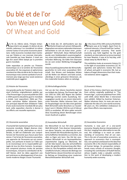## Du blé et de l'or Von Weizen und Gold Of Wheat and Gold



 $\hat{A}$ la fin du 19ème siècle, l'Empire britan-<br>inique était à son apogée. En dehors de ses intérêts nationaux il se considérait lui-même comme l'auteur d'une proto-économie planétaire. Cette économie mondiale était maintenue par l'étalon-or une monnaie internationale inventée par Isaac Newton. Il vivait son âge d'or avant d'être balayé par la première guerre mondiale.

Cette exposition se penche sur l'histoire économique (1) à la lumière de l'économie associative (2). Ses esquisses et aphorismes revisitent les rôles du blé et de l'or dans la vie économique mais comme symbole d'une dimension plus large que leur seule existence matérielle peut suggérer.

#### (1) Histoire de l'économie

Une grande partie de l'histoire citée ici provient d'articles originellement publiés par «The Present Age» un journal publié de 1935 à 1939 quand la deuxième guerre mondiale a éclaté. (voir exposition). Édité par l'historien autrichien Walter Johannes Stein, son principal objectif était d'élaborer l'idée d'une seule économie mondiale 80 ans plus tard, cette exposition cherche à donner à ces efforts une nouvelle expression.

#### (2) L'économie associative

L'humanité fait maintenant partie d'une seule économie mondiale. Malgré diverses interprétations de ce fait, alternatives ou néo-libérales, le défi est d'atteindre une compréhension de l'économie que chacun peut faire sienne. C'est le but de l'économie associative, une approche de l'économie qui est cosmopolite, non partisane et basée sur l'idée que la vie économique est la responsabilité partagée de tous les êtres humains. Sa perspective comprend plusieurs écoles de pensées économiques, incluant la contribution de Rudolf Steiner, dont les idées apportent une part précieuse au développement d'une économie moderne élargie à toute l'humanité.

Am Ende des 19. Jahrhunderts war das britische Empire auf seinem Höhepunkt. Abgesehen von seinen nationalen Interessen betrachtete es sich als Autor einer "protoglobalen" Wirtschaft. Diese Weltwirtschaft wurde vom Goldstandard zusammengehalten, einer internationalen, von Isaac Newton erfunden Währung. Sie hatte ihre Glanzzeit bis sie vom ersten Weltkrieg hinweggefegt wurde.

Diese Ausstellung betrachtet die Wirtschaftsgeschichte im Licht einer assoziativen Wirtschaft. Ihre Skizzen und Gedanken blicken auf die Rollen von Weizen und Gold zurück, allerdings in einer grösseren Dimension, als ihre materielle Existenz allein es nahelegt.

(1) Wirtschaftsgeschichte

Viel von der hier zitieren Geschichte stammt aus Artikeln der Zeitung "The Present Age", die von 1935 bis 1939, dem Beginn des zweiten Weltkriegs erschien (siehe Ausstellung. Herausgegeben wurde sie von einem österreichischen Historiker, Walter Johannes Stein, und ihr Hauptanliegen war die Idee einer geeinten Welt-Wirtschaft (siehe Broschüre zur Ausstellung 2 vom 4. Oktober 2014 bis zum 6 Februar 2015) zu erarbeiten. 80 Jahre später versucht diese Ausstellung diesen Bemühungen einen neuen Ausdruck zu geben.

#### (2) Assoziative Wirtschaft

Die Menschheit ist nun Teil einer geeinten Welt-Wirtschaft. Trotz diverser Interpretationen dieser Tatsache, von alternativ bis neoliberal, besteht die Herausforderung darin, ein wirtschaftliches Verständnis zu erreichen, das allen zu Eigen sein kann. Das Ziel der assoziativen Wirtschaft ist ein kosmopolitischer, unparteiischer Zugang zur Ökonomie, der auf der Idee basiert, dass das wirtschaftliche Leben die geteilte Verantwortung aller Menschen ist. Ihre Perspektive umfasst viele wirtschaftliche Schulen, inklusive des Beitrags von Rudolf Steiner, dessen Einsichten ein wertvoller Beitrag zur Entwicklung einer modernen Menschheitsweiten Wirtschaft sind.

of a proto-global economy. That world economy was held together by the gold standard, an international currency invented by Isaac Newton. It was at its hey-day, until swept away by World War 1. This exhibition looks at economic history (1)

 $A$ t the close of the 19th century the British<br>
anticordistance is found itself the (suther) national interests, it found itself the 'author'

in the light of associative economics (2). Its vignettes and aphorisms review the roles of wheat and gold in economic life, but as tokens of larger dimensions than their material existence alone suggests.

#### (1) Economic History

Much of the history cited here was derived from articles originally published in "The Present Age", a journal published from 1935 until 1939, when World War 2 intervened (see exhibit). Edited by Austrian historian, Walter Johannes Stein, its main aim was to elaborate the idea of a one-world economy. 80 years on, this exhibition endeavours to give these efforts new expression.

#### (2) Associative Economics

Humanity is now part of a one-world economy. Despite diverse interpretations of this fact, ranging from alternative to neo-liberal, the challenge is to reach an understanding of economics that all can own. This is the aim of associative economics, an approach to economics that is cosmopolitan, non-partisan and based on the idea that economic life is the shared responsibility of all human beings. Its perspective comprehends many schools of economic thought, including the contribution of Rudolf Steiner. whose insights make a valuable contribution to the work of developing a modern humanity-wide economy.

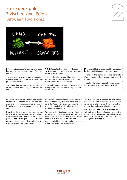## Entre deux pôles<br>Zwischen zwei Polen<br>Between two Poles Zwischen zwei Polen Between two Poles

AN CAPITAL NATURE CAPACITIES

L'économie est sous-tendue par un proces-sus qui se déroule entre deux pôles bien précis:

– la terre dans le sens de nature en général (de la géologie aux plantes alimentaires), représentée par le blé;

– le capital, la contreparƟ e des capacités et de la créativité humaines, représenté par l'or.

Le milieu qui lie les deux pôles est ce que les économistes appellent le travail, qui peut avoir une prédominance manuelle ou intellectuelle, mais est toujours un mélange des deux.

Nous travaillons la terre, mais ne pouvons le faire sans une certaine part d'intention créative consciente. De même que nous ne pouvons pas n'avoir que des idées ou faire preuve de créativité dans l'abstrait; nous devons aussi organiser notre travail.

Wirtschaftsleben liegt ein Prozess zu<br>Ishen Balan antfeltat: lichen Polen entfaltet:

– Land, die allgemeinen Naturgrundlagen (von der Geologie bis zu Nahrungspflanzen), repräsentiert durch den Weizen;

– Kapital, das Gegenstück zu menschlichen Fähigkeiten und Kreativität, repräsentiert durch Gold.

Das Mittel, das diese beiden Pole miteinander verbindet, ist, was Wirtschaftswissenschaftler Arbeit nennen, deren Spanne von manuell zu geistig reicht, aber immer eine

Wir bearbeiten das Land, aber wir können es nicht tun ohne einen gewissen Grad von bewusster, kreativer Absicht. Ebenso wenig können wir rein im Abstrakten mit Ideen oder Kreativität bleiben; wir müssen unsere

Arbeit bearbeiten, sie organisieren.

Mischung aus beiden ist.

E conomic life is underpinned by a process<br>
Let unfolds between two given poles:

– land, in the sense of nature generally (from geology to food plants), represented by wheat;

– capital, the counterpart of human capacities and creativity, represented by gold.

The medium that connects the two poles is what economists call labour, which can range in predominance from manual to mental, but is always a mix of the two.

We work on land, but we cannot do so without some degree of conscious creative intent. Just so, we cannot have ideas or be creative in the abstract: we need to work on, organise our labour.



*Of Wheat and Gold – ©2015 L'AUBIER*

ðf

Wheat and Gold - ©2015 L'AUBIER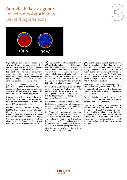## Au-delà de la vie agraire Jenseits des Agrarlebens Au-delà de la vie agraire<br>Jenseits des Agrarlebens<br>Beyond Agrarianism

Vu de l'extérieur, l'économie antique était<br>d'abord une chose agraire, supervisée par les Sages. Les temps étaient théocratiques: la démocratie encore impensable. Les êtres humains ne vivaient pas sur terre comme aujourd'hui. La vie terrestre était faite d'agriculture et de gratitude envers les dieux aux temps des récoltes. La vie culturelle aussi était orientée vers la terre.

Aujourd'hui cependant, l'agriculture est pour bien des gens relativement éloignée comparée à l'économie non-agricole. L'accent s'est déplacé vers la formation des idées, des capacités et vers la créativité.

Nous pouvons voir cela comme la contrepartie des statistiques qui disent que seul le 3% du commerce mondial est ‹réel› alors que le 97% est d'ordre financier.

L'ensemble représentant toutefois toujours le 100%, il reste une relation entre les deux. Bien que la proportion puisse devenir extrême, le capital (en bleu ci-dessus) a une certaine relation avec le commerce (en rouge). Un monde de biens sans argent n'est pas plus concevable qu'un monde d'argent sans biens, témoins les événements de 2008.

 $\ddot{A}$ usserlich betrachtet war das antike wirt-<br>schao hear filitet war aining Weiser ches, beaufsichtigt von einigen Weisen. Es waren theokratische Zeiten; die Demokratie war noch undenkbar. Auch die Menschen waren nicht in der Art auf der Erde, wie sie es heute sind. Das irdische Leben bestand weitestgehend aus Landwirtschaft und einem Dank an die Götter zur Erntezeit. Auch das kulturelle Leben bezog sich auf das Land.

Heute ist die Landwirtschaft für viele Menschen relativ fern im Vergleich zu dem Teil der Wirtschaft, der nicht agrarisch ist. Der Schwerpunkt der Wirtschaft hat sich zu dem Pol der Ideenfindung, den Fähigkeiten und der Kreativität verschoben.

Wir können das als die Kehrseite der aktuellen Statistiken betrachten, welche besagen, dass nur 3% des Welthandels "reale" und 97% finanzielle Transaktionen sind.

Die Gesamtheit repräsentiert immer 100%, zwischen beiden besteht eine Beziehung. Auch wenn die Proportionen sehr extrem werden können, muss Kapital (hier in blau) immer in einem Zusammenhang mit dem Handel (hier in rot) stehen. Eine Warenwelt ohne Geld ist ebenso wenig vorstellbar wie eine Geldwelt ohne Waren, wie die Ereignisse aus dem Jahr 2008 zeigen.

 $\sum_{\text{was a mainly agrarian affair, overseen}}$ by wise elders. The times were theocratic: today's democratic existence was but a future event. Nor were human beings so on the earth as they are today. Earthly life was largely a matter of agriculture, with thanks given to the gods at harvest time. Cultural life also turned on the land.

Nowadays, however, for many people, agriculture is relatively remote compared to the non-agricultural economy. The focus has shifted to the pole of ideation, capacities and creativity.

We can imagine this as the converse of today's statistic that says only 3% of world trade is 'real', 97% is financial.

Total turnover is always 100%, however, so the difference in proportion is not absolute but relative. Though the proportion may become highly stretched, capital (the blue money) has to be in some relation to trade (the red money). A world of goods without money is no more conceivable than a world of money without goods, witness the events of 2008.

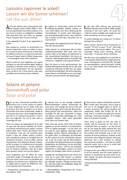## Laissons rayonner le soleil! Lassen wir die Sonne scheinen! Laissons rayonner le soleil!<br>Lassen wir die Sonne scheinen!<br>Let the sun shine!

 $\hat{A}$ la fin du 19ème siècle, l'économiste Wil-<br>liam Stanley Jevons (1835-1882) a cherché une signification aux taches solaires. Il n'a pas réussi à rendre ses allégations crédibles mais peut-être bien qu'il était sur quelque chose. Essayons donc encore une fois!

À qui appartient l'aube? À qui appartient le soleil?

Que quelqu'un, surtout un économiste, en vienne à répondre ‹à moi› ou même ‹à nous› et ce serait la porte d'entrée de la folie dans les affaires humaines. Le soleil est souverain. Se levant chaque matin, brillant chaque jour – il accompagne toute notre existence.

Mais le soleil est aussi égalitaire; ses rayons tombent sur nous de manière égale. Noble et équitable, il illumine toute existence. Il régit aussi la vie économique. Par ses représentants, le blé et l'or, il nous donne notre pain quotidien et harmonise toutes relations.

Im späten 19. Jahrhundert suchte der Wirt-<br>schaftswissenschaftler William Stanley Jem späten 19. Jahrhundert suchte der Wirtvons (1835-1882) nach einer Bedeutung der Sonnenflecken. Er konnte seine Behauptungen nicht glaubwürdig machen, aber vielleicht war er etwas auf der Spur. Versuchen wir es noch einmal!

Wem gehört die aufgehende Sonne? Wem gehört der Sonnenschein?

Sollte jemand, im schlimmsten Fall ein Wirtschaftswissenschaftler "Mir!" oder "Uns!" antworten, wäre es der Beginn des Wahnsinns in den menschlichen Geschäften. Die Sonne ist souverän. Jeden Morgen geht sie auf, jeden Tag scheint sie – begleitet unsere ganze Existenz.

Aber die Sonne ist auch gleichmachend, ihre Strahlen fallen gleichermassen auf uns alle. Edel und gerecht erleuchtet sie alles Sein. Sie regiert auch das Wirtschaftsleben. Durch ihre Repräsentanten Weizen und Gold gibt sie uns unser tägliches Brot und harmonisiert alle Beziehungen.

In the late 19th century, the economist<br>William Stanley Jevons (1835-1882) sought<br>meaning in the surfacented less surfaces n the late 19th century, the economist meaning in the sun's spots. He could not make his claims credible, but maybe he was onto something. So let's try again!

To whom belongs the rising sun? To whom belongs the sunshine?

Were anyone, worst of all an economist, to answer, "To me!" or even "To us!", then folly would enter into human affairs. The sun is sovereign. Rising every morning, shining every day – it succours all our existence.

But the sun is also egalitarian; its rays fall on us all equally. Noble and fair, it lights all existence. It also governs economic life. Through its representatives, wheat and gold, it gives to us our daily bread and harmonises all relationships.

## Solaire et polaire Sonnenhaft und polar Solar and polar

Dans ce sens, l'économie mondiale d'au-<br>jourd'hui est à la fois solaire et polaire et aussi longtemps que le soleil n'est pas forcé pour ainsi dire à tomber sur la terre, l'économie sera saine et favorable, stable et fructueuse pour tous. Aussi longtemps donc que blé et or resteront souverains, c'est-àdire non négociés. Ou s'ils le sont, alors à l'avantage de tous.

Alors, les valeurs qui apparaîtront d'un côté en tant que blé seront reflétées de l'autre sous forme monétaire par le capital – comme argent dont nous n'avons pas besoin pour le quotidien, mais qui est essentiel pour mener à bien les «belles actions» qu'Aristote considérait comme le véritable but de l'existence humaine. C'est en effet, comme l'économiste John Maynard Keynes l'observa fort à propos, le corollaire pour résoudre la question économique – ne pas satisfaire que les besoins matériels, mais de le faire pour pouvoir mener une vie plus digne.\*

Aussi longtemps que les effets du soleil sont libres d'agir à l'avantage de tous et ne sont pas sujets à être saisis ou possédés par quelques-uns d'entre nous seulement, alors le capital pourra paver les différents chemins qu'emprunte l'humanité.

*\* PerspecƟ ves économiques pour nos pe-Ɵ ts-enfants, 1930*

In diesem Sinn ist das heutige weltweite<br>Wirtschaftsleben sowohl Sonnenhaft als Wirtschaftsleben sowohl Sonnenhaft als auch polar, und solange die Sonne nicht auf die Erde gezogen wird, wird das Wirtschaftsleben gesund und unterstützend, stabil und fruchtbar für alle sein. Zumindest so lange, wie Weizen und Gold unabhängig, d.h. nicht handelbar bleiben. Oder wenn gehandelt wird, dann zum Gewinn aller.

Dann wird, was auf der einen Seite als Weizen gegeben ist auf der anderen in monetarisierter Form im Kapital gespiegelt – als das Geld, das wir nicht für unser tägliches materielles Leben benötigen, sondern welches notwendig ist, um die "guten Taten" zu vollbringen, die Aristoteles als den wahren Sinn des menschlichen Daseins sah. In der Tat ist dies, wie der Wirtschaftswissenschaftler John Maynard Keynes hervorragend beobachtete, das Werkzeug, um das wirtschaftliche Problem zu lösen – nicht nur um materielle Bedürfnisse zu befriedigen, sondern um damit zugleich ein würdiges Leben führen zu können.\*

Solange die Vermögenswerte der Sonne frei sind, um zu unser aller Gewinn zu arbeiten und nicht zur Eroberung und zum Besitz einiger Weniger werden, solange wird das Kapital, nicht das Gold, die vielfältigen Wege der Menschheit pflastern.

*\* WirtschaŌ liche PerspekƟ ven für unsere Enkelkinder, 1930*

In that sense, today's worldwide economic<br>life is both solar and polar, and as long as<br>the sum is not discovered drum to porth n that sense, today's worldwide economic the sun is not dragged down to earth, as it were, economic life will be healthy and supportive, stable and fruitful for all. As long, that is, as wheat and gold also remain sovereign, meaning untraded. Or if traded, then to everyone's benefit.

Then, what is given on the one side as wheat, will be mirrored on the other in monetised form as capital  $-$  as the money we do not need for daily material life, but which is essential if we are to carry out the fine actions that Aristotle saw as the true purpose of human existence. Indeed, as the economist John Maynard Keynes famously observed, this is the corollary to solving the economic problem  $-$  not only to satisfy material needs, but to do so in order that we can lead dignified lives.\*

As long as the sun's effects are free to work to all our benefit, and not made subject to capture or possession by only some of us, then capital, not gold, will pave humanity's many pathways.

*\* Economic PossibiliƟ es for our Grandchildren, 1930*

òf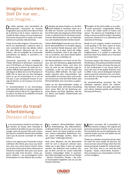### Imagine seulement... Stell Dir nur vor... Just imagine...

De telles pensées nous permettent de<br>comprendre l'économie de manière imaginative avant qu'elle entre dans le froid de la théorie et de la raison. L'absence (ou l'oubli) de telles choses est le prix payé pour l'économie d'aujourd'hui, basée sur le rationalisme et la pensée réductionniste.

Privée d'une telle imagerie, l'économie moderne est abandonnée à tâtonner dans la nuit, consciente de bien des détails, même des plus fâcheux. Obscurcie par les ‹Lumières›, elle est incapable de comprendre précisément ces détails, ni comment y remédier au mieux.

L'économie aujourd'hui est semblable à Thésée affrontant le Minotaure. Seulement sans le fil d'Ariane, en l'absence duquel elle ne trouve pas le chemin de sortie de la situation difficile dans laquelle elle s'est trouvée depuis le début de la crise financière en 2008. Elle ne peut pas non plus distinguer entre ce qui est économique et ce qui ne l'est pas, ni par conséquent trouver le courage de donner un sol nouveau à la vie économique.

En recontextualisant la vie économique, cette exposition jette un nouveau regard sur la relation entre le blé et l'or, l'agriculture et la culture, les biens et la créativité, le travail de la terre et la finance.

Gedanken wie diese erlauben uns, die Wirt-<br>Schaft bildhaft zu verstehen, bevor sie in die Kälte der Theorien und Vernunft eintritt. Das Fehlen (oder das Vergessen) solcher Dinge ist der zu zahlende Preis für die heute vorherrschende Wirtschaftslehre, die auf Rationalismus und reduktionistischem Denken basiert.

Solcher Bildhaftigkeit beraubt muss die moderne Wirtschaftslehre im Dunkeln tappen; sie ist mancher Details bewusst, aber nicht alle passen. Sie ist aber, durch die Aufgeklärtheit verdunkelt, nicht in der Lage, präzise zu verstehen, was diese Details bedeuten oder wie sie zu beheben ist.

Die Wirtschaftslehre von heute ist wie Theseus, der dem Minotaurus gegenübersteht. Nur ohne Ariadnes Faden, und ohne ihn kann sie nicht aus der misslichen Lage herausfinden, in der sie sich seit Beginn der Finanzkrise 2008 befindet. Sie kann auch weder zwischen dem unterscheiden, was wirtschaftlich ist und was nicht, und aus diesem Grund auch nicht den Mut finden, dem Wirtschaftsleben eine neue Basis zu geben.

Indem sie das Wirtschaftsleben wieder in seinen Kontext stellt, wirft diese Ausstellung einen neuen Blick auf die Beziehung zwischen Weizen und Gold, Agrikultur und Kultur. Waren und Kapital, Landwirtschaft und Finanzwesen.

Thoughts of this kind enable us to under-<br>stand economics imaginatively before it enters the colder world of theory and reason. The absence (or forgetting) of such things is the price paid for today's prevailing economics, based as it is on rationalism and reductionist thinking.

Bereft of such imagery, modern economics is left groping in the dark, aware of every detail, even of those things that are untoward. However, endarkened by the Enlightenment, it is unable to understand precisely what those details are or how best to remedy them.

Economics today is like Theseus confronting the Minotaur. Only without Ariadne's thread, lacking which it does not know the way out of the predicament it has found itself in since the start of the global financial crisis in 2008. It also cannot distinguish between what is economic and what is not, nor, therefore, find the courage to give a new ground to economic life.

By recontextualising economic life, this exhibition explores afresh the relationship between wheat and gold, agriculture and culture, between goods and creativity, farming and finance.

### Division du travail Arbeitsteilung Division of labour

La vie économique moderne est basée sur la division du travail, dont l'exemple le plus évident et durable est que nous devons manger avant de pouvoir faire autre chose. Nos besoins matériels doivent être satisfaits avant que de pouvoir accomplir de ‹belles actions».

Grâce à une sagesse que l'humanité ne peut s'attribuer elle-même, plus nous nous éveillons, plus nous avons besoin d'autre chose que du pain et des autres biens nécessaires à l'existence matérielle; donc plus nous avons besoin de cette sorte de biens - livres, pupitres, théâtres – qui accompagnent notre émancipation et nous libèrent des corvées.

Das moderne Wirtschaftsleben basiert<br>auf Arbeitsteilung. Das offensichtlichste Beispiel hierfür ist, dass wir zuerst essen müssen, bevor wir etwas anderes tun können. Unsere materiellen Bedürfnisse müssen zuerst befriedigt werden, bevor wir "gute Taten" vollbringen können.

Dank einer Weisheit, die die Menschheit nicht für sich in Anspruch nehmen kann, haben wir in dem Mass in dem wir wacher werden, das Bedürfnis nach anderen Dingen als Brot und die für unsere materielle Existenz notwendigen Güter. In wachsendem Mass benötigen wir die Art von Dingen – Bücher, Schultische, Theater – die unsere Emanzipation begleiten und uns aus der Plackerei befreien.

Modern economic life is grounded on<br>the division of labour, the original and<br>the division of a bidden in the original perennial example of which is that we must first eat before we can do anything else. Our material needs must be met before we can carry out fine actions.

Thanks to a wisdom humanity cannot claim for itself, the more awake we become, the more we have need of things other than the bread and goods needed for material existence. The more, that is, we need the kind of goods – books, school desks, theatres – that accompany our emancipation and free us from drudgery.

**5**

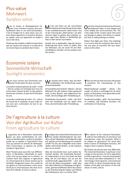## Plus-value Mehrwert Plus-value<br>Mehrwert<br>Surplus value

Avec le temps, le développement hu-<br>
main nous emmène toujours plus profondément dans la vie socio-économique. C'est là l'origine de la ‹plus-value› que certains disent appartenir au travail et d'autres au capital, mais qui appartient en réalité à aucun des deux.

Plutôt que de se battre, le défi consiste à faire que les surplus qui naissent à un pôle de la vie économique se perdent dans l'autre.

Mit der Zeit führt uns die menschliche<br>fortwährende Entwicklung immer tiefer in das sozialökonomische Leben hinein. Das ist der Ursprung des "Mehrwertes", von dem manche sagen es gehöre dem Arbeiter, andere sagen dem Kapital, in Wirklichkeit gehört er aber keinem von beiden.

AnstaƩ sich zu bekämpfen, liegt die Herausforderung eher darin, sicher zu stellen, dass der Mehrwert, der am einen Pol des Wirtschaftslebens entsteht, sich am anderen wieder verliert.

 $\bigcirc$  ver time, the perennial process of human<br>development takes us ever deeper and more widely into socio-economic life. This is the origin of the 'surplus value' that some say belongs to labour and others to capital, but that in reality belongs to neither.

Rather than fight over them, the challenge is to ensure that the surpluses that arise at the one pole of economic life lose themselves at the other.

## Économie solaire Sonnenlicht-Wirtschaft Sunlight economics

Alors nous verrons que l'économie com-<br>Aprend l'imbrication de deux courants:

La lumière métamorphosée du soleil – le blé – dont le surplus est échangé pour tous les autres biens, faisant du blé, ou plus généralement des céréales, la base de la formation du prix.

La lumière condensée du soleil – l'or – pierre de touche de la créativité, et pour cette raison sans prix, culmination de tout le système de prix.

Wir werden dann sehen, dass das Wirt-<br>Schaftsleben die Verflechtung zweier Ströme beinhaltet:

Verwandeltes Sonnenlicht – Weizen – dessen Mehrwert für alle anderen Güter getauscht wird, so dass Weizen, oder allgemeiner Getreide, die Grundlage aller Preisbildung ist.

Verdichtetes Sonnenlicht – Gold – der Prüfstein der Kreativität und von daher ohne Preis, die Kulmination aller Preisbildung.

Then we will see that economic life proper<br>comprises the interweaving of two streams:

Metamorphosed sunlight – wheat – the surplus of which is exchanged for all other goods, so that wheat, more generally cereal, is the basis of all pricing

Condensed sunlight – gold – the touchstone of creativity, and therefore priceless, the culmination of all pricing.

## De l'agriculture à la culture Von der Agrikultur zur Kultur From agriculture to culture

'apparition de la Révolution industrielle. avec ses deux manifestations de commerce et de fabrication, soulève la question: quelle est sa relation à l'agriculture? Pour ceux qui pensent en termes de développement économique, la réponse est qu'elle remplace l'agriculture.

Mais l'histoire peut aussi être vue différemment: la Révolution industrielle en particulier n'est qu'une étape sur le chemin. La manière dont elle s'oppose à l'agriculture en s'émancipant de la nature montre que le véritable changement passe d'un mode de vie agraire et communautaire à celui caractérisé par la reconnaissance des dons et talents de l'individu. En bref la culture.

Der Beginn der industriellen Revolution mit<br>
ihren beiden Manifestationen des Handels und der Fabrikation wirft folgende Frage auf: welches ist ihre Beziehung zur Landwirtschaft? Für die, die in Begriffen einer entwickelten Wirtschaft denken, ist die Antwort, dass sie sie ersetzt.

Aber die Geschichte kann auch anders betrachtet werden. Die industrielle Revolution insbesondere ist nur eine Stufe auf dem Weg. Die Art und Weise, wie sie sich der Landwirtschaft gegenüberstellt – jene die sich von der Natur emanzipiert – zeigt, dass der wahre Wechsel im Übergang von agrarischen, gemeinschaftlichen Arten des Lebens zu der Anerkennung der Gaben und Talente des Individuums, kurz, zur Kultur führt.

The advent of the Industrial Revolution,<br>with its two hallmarks of commerce and<br>monufacture mises the question. What is manufacture, raises the question: What is its relation to agriculture? For those who think in terms of 'developed economy', the image is that is replaces farming.

But history can also be seen very differently. The Industrial Revolution in particular is but a stage on the journey. For all its opposition in kind to agriculture – the one emancipated from nature, the other embedded in it – the real change is from agrarian, communitarian ways of life, to those characterised by celebration of the gifts and talents of the individual. In short, culture.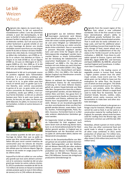## Le blé Weizen Wheat

Originaire des régions du Levant dans le<br>
Proche-Orient, le blé est aujourd'hui mondialement cultivé. L'une des premières céréales à avoir été domestiquées, le blé avec sa facilité à l'auto-pollinisation a grandement facilité la sélection de nombreuses et distinctes variétés. Qu'il ait aussi pu être cultivé facilement à grande échelle et eut en plus l'avantage de donner une récolte stockable comme nourriture sur une longue durée fit du blé un facteur-clé dans l'établissement des cités-états du «Croissant fertile» au début des civilisations, vers 8'000 av. JC. De là sa culture s'est étendue en Grèce, à Chypre et en Inde (6'500 av. JC) en Égypte (6'000 av. JC) puis en Allemagne et en Espagne (5000 av. JC). Vers 3000 av. JC le blé est arrivé en Angleterre et en Scandinavie. Mille ans plus tard il atteignait la Chine.

Globalement le blé est la principale source de protéine végétale dans l'alimentation humaine. Il a un contenu protéique plus élevé que les autres principales céréales, le maïs et le riz. Le grain entier peut être moulu et tamisé pour ne garder que la farine blanche, avec comme sous-produits le germe et le son. Le grain entier est une source concentrée de vitamines, minéraux et protéines, tandis que raffiné, il est surtout formé d'amidon. Le blé est un aliment basique pour faire le pain sous toutes ses formes, les biscuits, les cakes, les flocons du petit-déjeuner, les pâtes, le couscous et par fermentation, la bière et autres boissons alcoolisées.



Une certaine quantité de blé sert aussi au fourrage du bétail. Bien que sa paille ne puisse pas être consommée pour l'alimentation elle peut servir comme matériau de construction pour les toitures de chaume par exemple. En Angleterre la paille de blé a été utilisée pour les toitures depuis l'âge du bronze et est restée en usage jusqu'à la fin du 19ème siècle.

Aujourd'hui le blé est cultivé sur une surface plus grande que tout autre aliment commercial et le commerce mondial du blé est plus grand que toutes les autres cultures réunies. En 2013 la production mondiale de blé fut de 713 millions de tonnes en faisant la troisième céréale produite après le maïs (1 016 millions de tonnes) et le riz (745 millions de tonnes).

rsprünglich aus der östlichen Mittelmeerregion stammend, wird Weizen heute überall auf der Welt angebaut. Er ist eines der ersten nutzbar gemachten Getreide und seine Fähigkeit zur Selbstbefruchtung hat die Züchtung von vielen verschiedenen Arten erleichtert. Dass er ausserdem in grossem Massstab angebaut werden kann und seine Ernte für längere Zeit als Nahrungsvorräte eingelagert werden kann, machte Weizen zu einem Schlüsselfaktor bei der Gründung der babylonischen und assyrischen Stadtstaaten im "Fruchtbaren Halbmond" um 8000 v. Chr. Von dort aus breitete sich sein Anbau aus nach Griechenland, Zypern und Indien (6500 v. Chr.), Ägypten (6000 v. Chr.), Deutschland und Spanien (5000 v. Chr.). Um 3000 v. Chr. hatte der Weizen England und Skandinavien erreicht. 1000 Jahre später China.

Weizen ist weltweit der Hauptlieferant an pflanzlichem Eiweiss für die menschliche Ernährung. Er hat einen höheren Eiweissgehalt als andere Haupt-Getreide wie Mais oder Reis. Das ganze Korn kann bis zu Weissmehl gemahlen werden, mit den Nebenprodukten Kleie und Keim. Das ganze Korn ist eine konzentrierte Quelle an Vitaminen, Mineralstoffen und Eiweiss, während das raffinierte Korn hauptsächlich aus Stärke besteht. Weizen ist ein Grundnahrungsmittel aus dem verschiedenste Arten von Brot hergestellt werden können, sowie Kekse, Cookies, Kuchen, Frühstücksgetreide, Pasta, Nudeln, Couscous. Fermentiert kann er zu Bier oder anderen alkoholischen Getränken genutzt werden.

Ein begrenzter Anteil an Weizen wird auch als Futtermittel für Vieh angebaut. Auch wenn Stroh nicht als Nahrung dienen kann, kann es als Konstruktionsmaterial für Reetdächer genutzt werden. In England war es beispielsweise seit der Bronzezeit und bis ins späte 19. Jahrhundert üblich, Dächer mit Weizenstroh einzudecken.

Heute ist die Gesamtanbaufläche von Weizen grösser als von jedem anderen kommerziellen Nahrungsmittel und der Welthandel mit Weizen übertrifft den allen anderen Saaten zusammen. 2013 betrug die Weltproduktion von Weizen 713 Millionen, was nach Mais (1 016 Millionen Tonnen) und Reis (745 Millionen Tonnen) die drittgrösste produzierte Getreidemenge ist.



Originally from the Levant region of the Near East, wheat is now cultivated worldwide. One of the first cereals to have been domesticated, wheat's ability to self-pollinate greatly facilitated the selection of many distinct domesticated varieties. That it could also be easily cultivated on a large scale, and had the additional advantage of yielding a harvest that made for longterm storage of food, meant wheat was a key factor in the establishment of the citystates in the 'Fertile Crescent' at the start of civilization, c. 8000 BC. From there its cultivation spread to Greece, Cyprus and India (6500 BC), Egypt (6000 BC), and Germany and Spain (5000 BC). By 3000 BC, wheat had reached England and Scandinavia. A millennium later it reached China.

Globally, wheat is the leading source of vegetable protein in human food, having a higher protein content than the other major cereals, maize (corn) and rice. The whole grain can be milled to leave just the endosperm for white flour, the by-products of which are bran and germ. The whole grain is a concentrated source of vitamins, minerals, and protein, while the refined grain is mostly starch. Wheat is a staple food used to make flour for leavened, flat and steamed breads, biscuits, cookies, cakes, breakfast cereal, pasta, couscous and for fermentation to make beer and other alcoholic beverages.

A limited amount of wheat is also grown as a forage crop for livestock. Although its straw cannot be used as feed, it can be used as a construction material for roofing thatch. In England, for example, wheat straw has been used for roofing since the Bronze Age, and remained in common use until the late 19th century.

Nowadays, wheat is grown on more surface area than any other commercial food and world trade in wheat is greater than for all other crops combined. In 2013, world production of wheat was 713 million tons. making it the third most-produced cereal after maize (1016 million tons) and rice (745 million tons).



**7**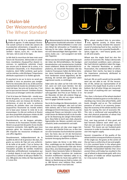



### L'étalon-blé Der Weizenstandard The Wheat Standard

L'étalon-blé est lié à la société préindus-trielle et agraire. À ceƩ e époque l'économie suivait surtout la ronde des saisons de la production alimentaire, à laquelle se superposait les échanges d'aliments non-essentiels – épices, sucre, etc. – et des biens ‹de luxe›, tels la soie et les tapis.

Le blé était la nourriture de base mais aussi l'ancre de l'économie. Démocratie et condi-Ɵ ons monétaires d'aujourd'hui étaient inconnues. Le capitalisme calviniste n'avait pas encore pris le devant de la scène, ni la révolution industrielle, ni le «financialisme» moderne, dont l'effet combiné, quel qu'en soit les mérites, a été d'éclipser l'importance attribuée auparavant à la réalité agricole.

Et pourtant la vie sur la terre ne serait pas possible si nous ne pouvions pas manger. Parmi les nécessités de la vie, le blé (comme représentant de toutes les céréales) est l'aliment de base. Son prix est le plus bas. C'est par lui que tout est mesuré. Combien d'autre chose puis-je échanger contre des céréales?

C'est là la base de l'étalon-blé – stocké sous forme de grains, ou sur pied, ou sous forme de champs, avec ses niveaux de récoltes, la sécheresse, et ainsi de suite. La présence continue de céréales dans une économie (aujourd'hui l'économie du monde entier) est la base pour évaluer le reste de la vie économique. Ce rôle est renforcé et illustré par deux propriétés physiques vitales du blé qui sont à la fois immuables et stables.

Premièrement, sur de longues périodes, les bonnes et les mauvaises récoltes s'équilibrent ce qui permet de parler d'une récolte moyenne constante. Cela signifie que nous pouvons gérer les ressources céréalières afin d'ajuster les ressources erratiques en une offre régulière.

Deuxièmement, indépendamment de la qualité du blé et de la grosseur des épis, les grains au centre de l'épi ont une uniformité de taille et de poids. C'est ce facteur de constance du grain de blé lui-même (avec l'exception possible de variétés modernes d'hybrides artificiellement manipulées) qui a conduit depuis la nuit des temps jusqu'à aujourd'hui à utiliser le blé pour libeller l'or, env. 480 grains du milieu de l'épi équivalent à 1 once d'or.

Der Weizenstandard ist mit der vorindustriellen,<br>agrarischen Gesellschaft verbunden. In diesen Zeiten folgte das Wirtschaftsleben in erster Linie dem Ablauf der Jahreszeiten zur Produktion von Nahrung für das Leben, überlagert vom Handel mit nicht lebenswichtigen Nahrungsmitteln – Gewürze, Zucker, usw. – und Luxusgütern wie Seide oder Teppichen.

Weizen war das Grundnahrungsmittel aber auch der Anker des Wirtschaftslebens. Die heutigen demokratischen und monetarisierten Zustände waren unbekannt. Weder der kalvinistische Kapitalismus, die industrielle Revolution oder das moderne Finanzwesen hatten die Bühne betreten, deren kombinierte Wirkung es war (von ihren Verdiensten einmal abgesehen), die Bedeutung, die vormals dem agrarischen Leben zugemessen wurde, zu verdrängen.

Dabei wäre das Leben auf der Erde nicht möglich, wenn wir nicht essen könnten. Von den Gütern des täglichen Bedarfs ist Weizen (als Repräsentant aller Getreidearten) das Grundnahrungsmittel. Sein Preis ist am Tiefsten. Er ist der Massstab, mit dem alle anderen Dinge gemessen werden. Wie viel von etwas anderem kann ich gegen Getreide tauschen?

Das ist die Grundlage des Weizenstandards – entweder als Korn eingelagert, oder noch auf dem Halm stehend, oder in Form von Weizenfeldern, abhängig von ihren Ernteniveaus, Dürren, usw. Die andauernde Präsenz von Getreide in einer Wirtschaft (heute die Weltwirtschaft) ist die Grundlage für die Bewertung des übrigen Wirtschaftslebens. Diese Rolle ist durch zwei vitale, physische Eigenschaften des Weizens verstärkt und veranschaulicht, beide unveränderlich und stabil.

Zum einen gleichen sich über einen langen Zeitraum gute und schlechte Ernten aus, so dass man von einer konstanten Durchschnittsernte sprechen kann. Das heisst, dass wir mit den Kornreserven haushalten können, um ungleichmässige Ernten in konstante Versorgung überführen zu können.

Zweitens haben die Körner in der Mitte einer Ähre, unabhängig von der Qualität des Weizens und der daraus resultierenden Fülle oder Armut dieser Ähre, eine Gleichmässigkeit in Grösse und Gewicht. Dieser konstante Faktor im Weizenkorn (mit der möglichen Ausnahme der modernen künstlich modifizierten Hybriden) selbst ist es, der von der Antike bis heute dazu geführt hat, Weizen zur Bestimmung von Gold zu nutzen, mit ca. 480 Körnern einer mittleren Ähre, welche gleichwertig mit einer Unze Gold sind.

The wheat standard links to pre-industrial, agrarian society. In those times economic life mainly entailed the seasons' round of producing food to live, overlain in places by trade in non-essential foodstuffs spices, sugar, etc. – and 'luxury' goods, such as silk and carpets.

Wheat was the staple food but also the anchor of economic life. Today's democratic and monetized conditions were unknown.  $\delta$ Nor had Calvinist capitalism taken the stage, or the Industrial Revolution or modern financialism, the combined effect of which, whatever their merits, has been to eclipse the importance previously attributed to agrarian existence.

And yet, life on earth would not be possible were we not able to eat. Of the necessities of life, wheat (as representative of all cereals) is the staple food; its price is at the bottom. By it all other things are measured. How much of anything else can I exchange for cereal?

This, then, is the basis of the wheat standard – whether stocked as grain or on the stalk as a standing crop, hence also wheat fields, yield levels, drought, and so on. The continued presence of cereal in an economy (nowadays the economy of the whole world) is the basis for valuing the rest of economic life. This role is reinforced and exemplified by two vital physical properties of wheat that are both immutable and stable.

First, over long periods of time good and bad harvests balance each other out, so that one can speak of an average constant harvest. This means we can husband grain resources in order to translate erratic provision into regular supply.

Second, irrespective of the quality of the wheat and the consequent fullness or paucity of the single ear, the grains at the centre of the ear have a uniformity of size and weight. It is this constant factor in the wheat grain itself (with the possible exception of modern artificially manipulated hybrids) that since ancient times until today has resulted in the use of wheat to denominate gold, with circa 480 grains of middle ear wheat equivalent to 1 troy ounce of gold.



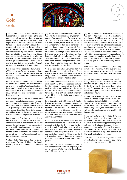## L'or Gold Gold





L'or est une substance remarquable. Une<br>
description de ses propriétés physiques<br>
des propriétés physiques peut nous laisser pantois. L'or est partout présent sur la terre – dans les mers, dans la plus haute strate de l'atmosphère, à l'intérieur de la terre elle-même et sur chaque continent. Il existe comme fine poussière et en pépites compactes. Il n'y a pas de veines aurifères comme il y en a pour d'autres métaux. Les dépôts les plus denses sont découverts en combinaison avec de la silice par exemple ou des composants de fer ou du souffre qui contiennent de l'arsenic. Il est finement réparƟ s'il est combiné à de l'argent, au mercure, au cuivre et à l'antimoine.

L'or a une affinité spéciale à la lumière, la réfléchissant plutôt que la captant. Cette qualité est la raison de son usage dans les merveilleuses couleurs des vitraux et autres objets précieux.

Mais il est lié à la lumière aussi en termes de poids, étant capable de transformation en la plus fine feuille d'or, plus délicate que les ailes d'un papillon. D'un autre côté avec une densité de 19.3, comparé au plomb de 11.6, l'or est l'une des substances connues les plus denses.

Il ne s'oxyde pas, ni ne se combine avec quelque autre substance excepté le cyanure de potassium. Il se tient pour lui-même. L'or est la substance la plus extensible de la terre – un gramme peut être étendu dans un fil sur presque deux kilomètres de longueur – et un fil de 2mm de diamètre supporte encore une traction d'un poids de 60 kilos!

Par sa nature même l'or est un médiateur entre expansion infinie et forte cohésion, entre dispersion et densification. Et par ses propriétés contrastées l'or est extraordinairement stable. Son importance économique est l'écho direct de sa nature physique. La faculté de l'or de contenir les extrêmes est un parfait corollaire d'une saine maîtrise de la circulation des valeurs.

Un total de 174'100 tonnes d'or ont été extraites dans l'histoire de l'humanité, l'équivalent grossier d'un cube de 21 mètres de côté.

Gold ist eine bemerkenswerte Substanz.<br>
Eine Beschreibung seiner physischen Eigenschaften kann einen in Ehrfurcht versetzen. Gold ist überall auf der Erde vorhanden – in den Ozeanen, in den höchsten Schichten der Atmosphäre, in den Tiefen der Erde und auf allen Kontinenten. Es existiert als feinster Staub und als dichteste Goldklumpen. Es existieren allerdings keine Goldadern wie bei anderen Metallen. Die dichteren Vorkommen sind mit Kieselsäure, Eisen oder Schwefelverbindungen, die Arsen enthalten, verbunden. In Verbindung mit Silber, Quecksilber, Kupfer oder Antimon kann Gold sehr fein verteilt gefunden werden.

Gold hat eine besondere Verwandtschaft mit dem Licht, das es eher abstrahlt als einfängt. Diese Qualität ist der Grund für seine Verwendung in den wunderbaren Farben der Buntglasfenster und anderen Kostbarkeiten.

Aber seine Lichtverwandtschaft findet man auch beim Gewicht wieder: es kann zu feinsten Goldblättern verarbeitet werden, zarter noch als Schmetterlingsflügel. Auf der anderen Seite ist Gold mit einer spezifischen Dichte von 19.3 – Blei im Vergleich hat eine Dichte von 11.6 – eine der dichtesten bekannten Substanzen.

Es oxidiert nicht und geht ausser mit Zyankali keine Verbindung mit anderen Substanzen ein; es bleibt unter sich. Gold ist die dehnbarste Substanz auf der Erde – ein Gramm kann in einen Faden mit einer Länge von zwei Kilometern auseinander gezogen werden – und eine Dicke von zwei Millimetern widersteht noch Zugkräften von 60kg!

Durch seine Natur vermittelt Gold zwischen unendlicher Ausdehnung und starkem Zusammenhalt, zwischen Zerstreuung und Verdichtung. Und auf Grund seiner gegensätzlichen Eigenschaften ist Gold extrem stabil. Seine wirtschaftliche Bedeutung ist ein direktes Echo seiner physischen Natur. Die Fähigkeit von Gold sich zwischen Extremen bewegen zu können ist perfekt, um den Kreislauf von Werten zu begleiten.

Insgesamt 174'100 Tonnen Gold wurden in der menschlichen Geschichte abgebaut, was in etwa einem Würfel mit einer Seitenlänge von 21 Metern entspricht.

 $G$ old is a remarkable substance. A description of its physical properties can leave one in awe. Gold is present everywhere on earth – in the seas, in the highest strata of the atmosphere and in the earth itself and on every continent. It exists as the finest dust and in dense nuggets. There are, however, no veins of gold as there are of other metals. The denser deposits are found combined with silica, for example, or in iron or sulphur compounds containing arsenic. Combined with silver, mercury, copper and antimony, however, gold is to be found finely distributed.

Gold has a special affinity to light, radiating it rather than retaining it. This quality is the reason for its use in the wonderful colours of stained glass and other treasured artefacts.

But it is light-related also in terms of weight, being capable of transformation into the thinnest of gold leaf, more delicate than butterfly wings. On the other hand, with a specific gravity of 19.3 compared to lead's 11.6, gold is one of the most dense substances known.

It does not oxidise or combine with any other substance except potassium cyanide. It remains unto itself. Gold is the most extensible substance on earth – one gram can be extended into a thread nearly two kilometres long – and yet a 2mm thickness can withstand a tractive power of a weight of 60 kilogrammes.

By its very nature gold mediates between infinite expansion and strong cohesion, between dispersion and hardening. And because of its contrasting properties gold is extraordinarily stable. Its economic significance is a direct echo of its physical nature. The ability of gold to pass back and forth between extremes is a perfect corollary of the healthy circulation of values.

A total of 174,100 tonnes of gold have been mined in human history, roughly equivalent to a cube 21 metres on each side.



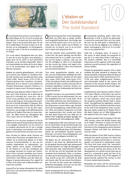

### L'étalon-or Der Goldstandard The Gold Standard

Économiquement parlant, la principale ca-ractérisƟ que de l'or est qu'il ne peut pas être détruit. Il ne peut pas non plus être fabriqué. Tout ce qu'on peut faire avec l'or est de le redistribuer. On peut le faire en le déterrant, en le mélangeant, en l'échangeant, et ainsi de suite. C'est de la circulation pure et simple.

L'or a une valeur changeante bien sûr, dans le sens de ce que les gens sont préparés à payer pour lui ou selon ce qu'il permettra d'acheter, ou le montant disponible. Mais il est imperméable aux aléas de la vie et règne sur la vie économique sans égard aux faiblesses humaines.

Malgré ses aspects géopolitiques, c'est cela qui a permis que l'étalon-or remplace l'étalon-blé. Soutenu par les idées de John Locke (1632-1704), David Hume (1711-1776) et d'autres penseurs des ‹Lumières›, et inextricablement lié à la nature et aux intérêts de l'Empire Britannique naissant, l'étalon-or a marqué la rupture avec l'économie agraire.

Établi par Isaac Newton (1642-1726) en 1717 alors qu'il était directeur de la Monnaie le taux qu'il a introduit de 1 once d'or = 4£ 4s 11½d a tenu pendant près de deux siècles, ce qui en dit long sur la puissance de la position de la Grande-Bretagne à l'époque. Renforcé par la loi, notamment celle de 1816 et d'autres événements à la fin de l'ère napoléonienne, son prestige a été définitivement scellé par Sir Robert Peel dans la charte bancaire de 1844 (suivie par l'abrogation des ‹Corn Laws› [lois sur les blés] en 1846).

L'étalon-or a eu ses jours de gloire à la fin du 19ème siècle quand l'empire britannique était à son apogée. Cependant il n'a pu survivre à la soudaine découverte de l'or qui a changé toute la dynamique économique entre l'Angleterre et ses dominions ainsi que ses rivaux.

Avec l'arrivée du 20ème siècle l'histoire est entrée dans l'économie mondiale dont le corollaire est le partenariat global ou le bien commun (Commonwealth), et non pas les rivalités impérialistes ou nationalistes. Les temps étaient venus quand «l'automaticité› de l'étalon-or a dû être remplacée par un partage conscient et surtout par l'avènement d'une monnaie mondiale aussi bonne (donc universelle) que l'or mais libérée de ses contraintes; mais libérée aussi des aléas politiques et gouvernementaux d'un argent lié à l'État, tout autant que la détermination primaire des marchés.

Aujourd'hui les temps demandent de notre part à tous une conscience dans les relations économiques.

Okonomisch gesprochen ist die Haupteigen-<br>Schaft von Gold, dass es weder zerstört, noch hergestellt werden kann. Das Einzige, was man mit Gold machen kann, ist es neu zu verteilen. Man tut dies, indem man es fördert, es schmilzt ein, es tauscht, usw. Es ist ein Kreislauf in einem sehr physischen Sinn.

Gold hat natürlich einen wechselnden Wert, in dem Sinn, der davon abhängt, was die Menschen bereit sind, für es zu zahlen, was sie denken mit ihm kaufen zu können, oder wie viel von ihm verfügbar ist. Aber es ist unantastbar von den Launen des Lebens und regiert erhaben das wirtschaftliche Leben ohne Rücksicht auf menschliche Marotten.

Trotz seiner geopolitischen Aspekte, war es dies, was den Goldstandard befähigte den Weizenstandard abzulösen. Gestärkt von den Ideen John Lockes (1623-1704), David Hume (1711- 1776) und anderen Denkern der Aufklärung und untrennbar der Natur und den Interessen des im Entstehen begriffenen britischen Empires verbunden, läutete der Goldstandard das Ende der Agrarwirtschaft ein.

Eingeführt wurde er von Isaac Newton (1642- 1726) in seiner Zeit als Münzmeister. Der von ihm eingeführte Kurs von 1 Unze Gold = 4£ 4s 11½d blieb während zwei Jahrhunderten erhalten, welches viel über die machtvolle Posi-Ɵ on Britanniens in jenen Zeiten sagt. Gestärkt durch die Gesetzgebung, insbesondere jener von 1816 und anderen Ereignissen am Ende der napoleonischen Zeit, wurde sein Ruhm mit dem Bank Charter Act von 1844 von Sir Robert Peel endgültig besiegelt (gefolgt von der Aufhebung der Getreidegesetze 1846).

Der Goldstandard hatte seine Glanzzeit im späten 19. Jahrhundert, als das britische Empire auf seinem Höhepunkt war. Er konnte jedoch nicht die plötzlichen Goldfunde dieser Zeit überleben, welche die wirtschaftliche Dynamik zwischen Britannien und seinen Herrschaftsgebieten und seinen Rivalen grundlegend verändert hat.

Mit Beginn des 20. Jahrhunderts trat die Geschichte in die Phase der Weltwirtschaft ein, für die globale Partnerschaft oder Gemeinwohl ("Commonwealth") zur Folge die Massgabe ist, statt imperialer oder nationalistischer Rivalitäten. Die Zeit war reif, die Automatik des Goldstandards durch bewusstes Teilen zu ersetzen, vor allem durch die Entwicklung einer Weltwährung, welche so gut (d.h. universell) wie Gold sein müsste, aber frei von seinen Einschränkungen. Frei auch von den Launen des staatlichen, politischen Buchgeldes und auch von der blossen Bestimmung durch die Märkte.

Heute verlangt die Zeit von uns allen Bewusstheit in wirtschaftlichen Beziehungen.

Economically speaking, gold's chief characteristic is that it cannot be destroyed. It cannot be consumed. Nor can it be made. All one can do with gold is redistribute it. One can do this by digging it up, melting it down, exchanging it, and so on. It is circulation in very physical fact.

**10**

Gold has a changing value, of course, in the sense of what people are prepared to pay for it or what they think it will buy, or the amount available. But it is essentially impervious to the vagaries of life and reigns supreme overall economic life regardless of human foibles.

Despite its geopolitical aspects, this is what enabled the gold standard to displace the wheat standard. Underpinned by the ideas of John Locke (1632-1704), David Hume (1711- 1776) and other Enlightenment thinkers, and inextricably linked to the nature and interests of the nascent British Empire, the gold standard heralded the break with agrarianism.

Established by Isaac Newton (1642-1726) in 1717 when Master of the Mint, the rate he set of 1oz. gold =  $£4$  4s 11½d held for close on two centuries, which says much about the powerful position Britain held in those times. Strengthened by legislation, particularly the 1816 Act in Britain and other events at the end of the Napoleonic time, its prestige was finally sealed by Sir Robert Peel in the Bank Charter Act of 1844 (followed by the repeal of the Corn Laws in 1846).

The gold standard had its heyday in the late 19th century, when the British Empire was at its height. However, it could not and did not survive the sudden gold discoveries of that time or the changing economic dynamic between Britain and both her dominions and her rivals.

With the advent of the 20th century, history entered into world economy, for which the corollary is global partnership or commonwealth, not imperial or nationalistic rivalry. The time had come when the 'automaticness' of the gold standard had to be replaced by conscious sharing and above all by the development of a world money that was as good (i.e. universal) as gold, but free of its constraints. But free, too, of the vagaries of governmental, political fiat money, as also of mere market determination.

Nowadays the times call for consciousness in economic relationships on all our parts.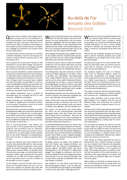

## **11** Au-delà de l'or Jenseits des Goldes Beyond Gold

Quel que soit ses mérites, notre regard écono-<br>mique se tourne vers l'or de l'antiquité à un futur encore lointain. D'une société dans laquelle la plupart des gens sont sans instruction et recherche leurs dieux à l'extérieur d'eux-mêmes à une société où tout le monde sait lire et compter, où le suffrage est universel et où les gens vivent de leur propre valeur.

Là réside le défi: environ un tiers de l'or est utilisé à des fins monétaires, mais l'or est-il toujours nécessaire à cela? Comment pouvons-nous en fait nous passer d'or?

Pour se passer de l'or, pour qu'il n'ait plus ni rôle monétaire ni ne soit valeur-refuge, nous devons faire reposer l'économie sur le partage conscient des ressources naturelles et intellectuelles.

Pour les experts monétaires, la piste réside dans le «Tract pour une réforme de la monnaie» de Keynes en 1923 dans lequel il relève que «[la production et l'épargne] ne peuvent pas fonctionner correctement si l'argent, dont ils assument que la stabilité vaut celle d'un étalon, est peu fiable» et «qu'il n'y a pas de justification historique qui permette d'attendre que l'argent soit représenté même par une quantité constante d'un métal particulier, moins encore par un pouvoir d'achat constant.»

Cela signifie, évidemment, que la conduite de l'économie dans son ensemble doit être un acte conscient – délibéré et scientifique.

Keynes remarque, par conséquent, que de quitter l'étalon-or signifie que la manière de penser et de structurer l'économie à partir d'un centre vers une périphérie doit être revue.

Nous avons donc à trouver ensemble ce qui était précédemment défini par l'économie dominante en remplaçant un point fixe par un point également stable «point autour duquel les échanges fluctuent et où ils doivent finir par se stabiliser; avec une différence matérielle, à savoir qu'il n'est pas lui-même un point fixe...»

Pour le macro-économiste nous devons voir que ni le blé, ni l'or ne peuvent être des étalons puisqu'ils sont eux-mêmes sujet au commerce. Le chemin doit être trouvé pour qu'aucun d'eux, ni le blé ni l'or, ne soient traités comme réserves dont le rôle serait d'équilibrer les déséquilibres. Sans cela ni les prix, ni l'argent ne peuvent devenir vrais.

En tant que citoyens nous avons besoin de démontrer qu'au lieu du blé et de l'or, notre propre conduite doit devenir la référence. Nous avons besoin de trouver l'équilibre dans nos propres affaires, pour ensuite refléter cet équilibre dans l'économie au sens large. La norme devient notre capacité à réaliser que la polarité de l'économie mondiale est un reflet de la même polarité en nous et que cela ne sert à rien de se battre ou de posséder le sol et le capital.

Ce qui importe, c'est que les deux soient mis au service de l'humanité tandis que nous nous activons pour satisfaire les besoins des autres afin que nous puissions tous mener de «belles actions».

Was auch seine Verdienste sind, wir wenden den<br>Blick vom Gold der Antike in eine noch ferne Zukunft. Von einer Gesellschaft, in der die meisten Menschen ungebildet sind und ihre Götter ausserhalb ihrer selbst finden, zu einer Gesellschaft in der idealerweise alle schreib- und rechenkundig sind, in der es ein universales Stimmrecht gibt und wo die Menschen nach ihren eigenen Werten leben.

Darin liegt die Herausforderung: ungefähr ein Drittel des Goldes wird für monetäre Ziele genutzt. Aber wird Gold noch für solche Dinge benötigt? Wie können wir auf Gold verzichten?

Um Gold los zulassen, damit es weder eine monetäre Rolle hat, noch als sicherer Hafen dient, muss das Wirtschaftsleben auf einem bewussten Teilen von Ressourcen, natürlicher wie intellektueller, beruhen.

Für Geldexperten liegt der Schlüssel in Keynes' "Trakt einer Währungsreform" von 1923, in dem er schreibt, dass "(Produktion und Ersparnisse) nicht richtig arbeiten können, wenn das Geld, welches sie als einen stabilen Massstab nehmen, unzuverlässig ist und dass "es keine historische Berechtigung gibt, erwarten zu können, dass Geld durch eine konstante Menge eines bestimmten Metalls gleichmässig repräsentiert wird, weniger noch durch eine konstante Kaufkraft."

Das bedeutet natürlich, dass das Führen der Wirtschaft als Ganzem eine bewusste Handlung sein  $muss - gut überleet und wissenschaftlich.$ 

Keynes notiert hierzu, dass das Ablösen des Goldstandards verlangt zu erkennen, dass die Art, die Wirtschaft von einem zentralen Punkt nach aussen zu denken und zu gliedern, erneuert werden muss.

Wir müssen nun gemeinsam den Punkt finden, der früher von der vorherrschenden Wirtschaft behauptet wurde, einen fixen Punkt durch einen ebenso festen Punkt auswechseln, "über den die Austausche fluktuieren und in dem sie definitiv zu Ruhe kommen; mit einem materiellen Unterschied, dass dieser selber kein Fixpunkt ist...

Für den Makroökonomen müssen wir sehen, dass weder Weizen noch Gold Standards sein können, weil sie selbst Handelsobjekte sind. Es muss sowohl für den Weizen wie auch das Gold der Weg gefunden werden, dass sie nicht als Reserven behandelt werden, deren Rolle es wäre, Ungleichmässigkeiten auszugleichen. Ansonsten können weder Preise noch Geld wahr werden.

Als Bürger müssen wir zeigen, dass anstelle von Gold und Weizen unser eigenes Verhalten zum Standard wird. Wir müssen ein Gleichgewicht in unseren eigenen Geschäften finden und dieses Gleichgewicht in die Wirtschaft im Allgemeinen spiegeln. Die Fähigkeit zu realisieren, dass die Polarität der Weltwirtschaft eine Spiegelung der gleichen Polarität in uns ist, wird zum Standard. Und es nützt nichts, einander zu bekämpfen oder Land oder Kapital zu besitzen.

Was wichtig ist, ist, dass beide in den Dienst der Menschheit gestellt werden, so wie wir aktiv werden um die Bedürfnisse der Anderen zu befriedigen, so dass wir alle "gute Taten" vollbringen können.

Whatever its merits, the gold standard turns<br>our economic gaze from the ancient past to the distant future. From a society in which most people are untutored and find their gods outside themselves, to one in which ideally everyone is literate and numerate, where suffrage is universal, and people live by their own values.

Therein lies the challenge: Roughly one third of gold is used for monetary purposes, but is gold still needed for such things? How, in fact, do we get beyond gold?

For gold to be let go, for it to have neither monetary nor safe-haven roles, we need to rest economic life on conscious sharing of resources, both natural and intellectual.

For monetary experts, the clue is in Keynes' 1923 Tract on Monetary Reform, where he noted that "[production and saving] cannot work properly if the money, which they assume as a stable measuring-rod, is undependable", and that "there is no historical warrant for expecting money to be represented even by a constant quantity of a particular metal, far less by a constant purchasing power."

This means, of course, that the successful ongoing conduct of the economy as a whole needs to be a conscious  $act$  – deliberate and scientific.

Keynes notes, therefore, that to come off the gold standard is to recognise that the way of thinking about and structuring the economy from a central point outwards needs to be reviewed.

We have now to find reciprocally the point which was previously asserted by the 'top dog' economy, replacing a fixed point with an equally steady "point about which the exchanges fluctuate, and at which they must ultimately come to rest; with one material difference, namely, that it is not itself a fixed point..."

For the macro-economist, we need to see that neither wheat nor gold can be the standard as long as both are subject to trade. The way has to be found for both wheat and gold to be treated as non-commodities, as reserves whose role is to balance out imbalances. Without this, neither prices nor money can come true.

Then, finally, as citizens generally we need to demonstrate that, instead of wheat and gold, our own conduct has to become the standard. We need to find balance in our own affairs and then reflect that balance in the economy at large. The standard becomes our ability to realise that the polarity of the world economy is a reflection of the same polarity in ourselves, and that it avails us nothing to fight over or possess land and capital.

What matters is that both are placed at the service of humanity generally as we go about our business of meeting one another's needs so that we can all carry out fine actions.